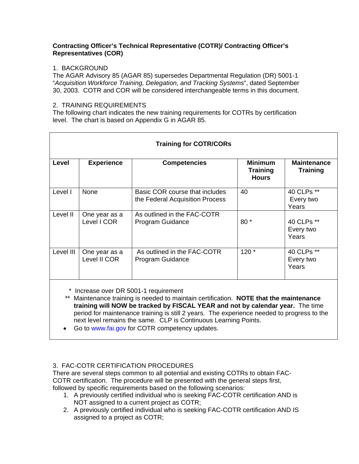### **Contracting Officer's Technical Representative (COTR)/ Contracting Officer's Representatives (COR)**

## 1. BACKGROUND

The AGAR Advisory 85 (AGAR 85) supersedes Departmental Regulation (DR) 5001-1 "*Acquisition Workforce Training, Delegation, and Tracking Systems*", dated September 30, 2003. COTR and COR will be considered interchangeable terms in this document.

### 2. TRAINING REQUIREMENTS

The following chart indicates the new training requirements for COTRs by certification level. The chart is based on Appendix G in AGAR 85.

| <b>Training for COTR/CORs</b> |                               |                                                                   |                                                   |                                       |  |  |
|-------------------------------|-------------------------------|-------------------------------------------------------------------|---------------------------------------------------|---------------------------------------|--|--|
| Level                         | <b>Experience</b>             | <b>Competencies</b>                                               | <b>Minimum</b><br><b>Training</b><br><b>Hours</b> | <b>Maintenance</b><br><b>Training</b> |  |  |
| Level I                       | None                          | Basic COR course that includes<br>the Federal Acquisition Process | 40                                                | 40 CLPs **<br>Every two<br>Years      |  |  |
| Level II                      | One year as a<br>Level I COR  | As outlined in the FAC-COTR<br>Program Guidance                   | $80*$                                             | 40 CLPs **<br>Every two<br>Years      |  |  |
| Level III                     | One year as a<br>Level II COR | As outlined in the FAC-COTR<br>Program Guidance                   | $120*$                                            | 40 CLPs **<br>Every two<br>Years      |  |  |

\* Increase over DR 5001-1 requirement

 \*\* Maintenance training is needed to maintain certification. **NOTE that the maintenance training will NOW be tracked by FISCAL YEAR and not by calendar year.** The time period for maintenance training is still 2 years. The experience needed to progress to the next level remains the same. CLP is Continuous Learning Points.

• Go to www.fai.gov for COTR competency updates.

# 3. FAC-COTR CERTIFICATION PROCEDURES

There are several steps common to all potential and existing COTRs to obtain FAC-COTR certification. The procedure will be presented with the general steps first, followed by specific requirements based on the following scenarios:

- 1. A previously certified individual who is seeking FAC-COTR certification AND is NOT assigned to a current project as COTR;
- 2. A previously certified individual who is seeking FAC-COTR certification AND IS assigned to a project as COTR;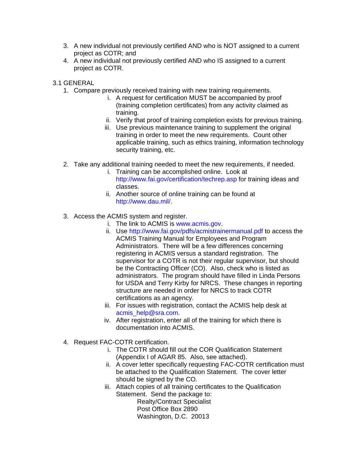- 3. A new individual not previously certified AND who is NOT assigned to a current project as COTR; and
- 4. A new individual not previously certified AND who IS assigned to a current project as COTR.

3.1 GENERAL

- 1. Compare previously received training with new training requirements.
	- i. A request for certification MUST be accompanied by proof (training completion certificates) from any activity claimed as training.
	- ii. Verify that proof of training completion exists for previous training.
	- iii. Use previous maintenance training to supplement the original training in order to meet the new requirements. Count other applicable training, such as ethics training, information technology security training, etc.
- 2. Take any additional training needed to meet the new requirements, if needed.
	- i. Training can be accomplished online. Look at http://www.fai.gov/certification/techrep.asp for training ideas and classes.
	- ii. Another source of online training can be found at http://www.dau.mil/.
- 3. Access the ACMIS system and register.
	- i. The link to ACMIS is www.acmis.gov.
	- ii. Use http://www.fai.gov/pdfs/acmistrainermanual.pdf to access the ACMIS Training Manual for Employees and Program Administrators. There will be a few differences concerning registering in ACMIS versus a standard registration. The supervisor for a COTR is not their regular supervisor, but should be the Contracting Officer (CO). Also, check who is listed as administrators. The program should have filled in Linda Persons for USDA and Terry Kirby for NRCS. These changes in reporting structure are needed in order for NRCS to track COTR certifications as an agency.
	- iii. For issues with registration, contact the ACMIS help desk at acmis\_help@sra.com.
	- iv. After registration, enter all of the training for which there is documentation into ACMIS.
- 4. Request FAC-COTR certification.
	- i. The COTR should fill out the COR Qualification Statement (Appendix I of AGAR 85. Also, see attached).
	- ii. A cover letter specifically requesting FAC-COTR certification must be attached to the Qualification Statement. The cover letter should be signed by the CO.
	- iii. Attach copies of all training certificates to the Qualification Statement. Send the package to:

 Realty/Contract Specialist Post Office Box 2890 Washington, D.C. 20013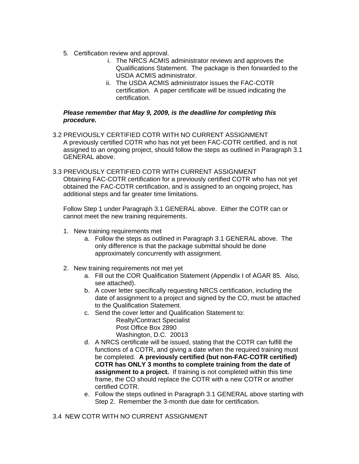- 5. Certification review and approval.
	- i. The NRCS ACMIS administrator reviews and approves the Qualifications Statement. The package is then forwarded to the USDA ACMIS administrator.
	- ii. The USDA ACMIS administrator issues the FAC-COTR certification. A paper certificate will be issued indicating the certification.

### *Please remember that May 9, 2009, is the deadline for completing this procedure.*

- 3.2 PREVIOUSLY CERTIFIED COTR WITH NO CURRENT ASSIGNMENT A previously certified COTR who has not yet been FAC-COTR certified, and is not assigned to an ongoing project, should follow the steps as outlined in Paragraph 3.1 GENERAL above.
- 3.3 PREVIOUSLY CERTIFIED COTR WITH CURRENT ASSIGNMENT Obtaining FAC-COTR certification for a previously certified COTR who has not yet obtained the FAC-COTR certification, and is assigned to an ongoing project, has additional steps and far greater time limitations.

Follow Step 1 under Paragraph 3.1 GENERAL above. Either the COTR can or cannot meet the new training requirements.

- 1. New training requirements met
	- a. Follow the steps as outlined in Paragraph 3.1 GENERAL above. The only difference is that the package submittal should be done approximately concurrently with assignment.
- 2. New training requirements not met yet
	- a. Fill out the COR Qualification Statement (Appendix I of AGAR 85. Also, see attached).
	- b. A cover letter specifically requesting NRCS certification, including the date of assignment to a project and signed by the CO, must be attached to the Qualification Statement.
	- c. Send the cover letter and Qualification Statement to:

 Realty/Contract Specialist Post Office Box 2890 Washington, D.C. 20013

- d. A NRCS certificate will be issued, stating that the COTR can fulfill the functions of a COTR, and giving a date when the required training must be completed. **A previously certified (but non-FAC-COTR certified) COTR has ONLY 3 months to complete training from the date of assignment to a project.** If training is not completed within this time frame, the CO should replace the COTR with a new COTR or another certified COTR.
- e. Follow the steps outlined in Paragraph 3.1 GENERAL above starting with Step 2. Remember the 3-month due date for certification.

### 3.4 NEW COTR WITH NO CURRENT ASSIGNMENT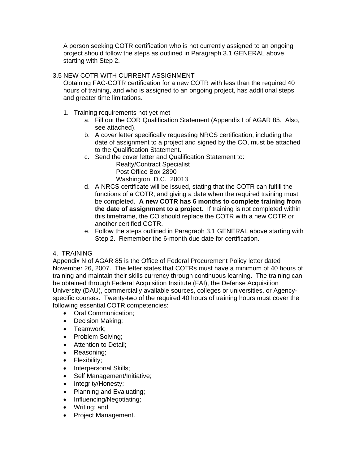A person seeking COTR certification who is not currently assigned to an ongoing project should follow the steps as outlined in Paragraph 3.1 GENERAL above, starting with Step 2.

## 3.5 NEW COTR WITH CURRENT ASSIGNMENT

Obtaining FAC-COTR certification for a new COTR with less than the required 40 hours of training, and who is assigned to an ongoing project, has additional steps and greater time limitations.

- 1. Training requirements not yet met
	- a. Fill out the COR Qualification Statement (Appendix I of AGAR 85. Also, see attached).
	- b. A cover letter specifically requesting NRCS certification, including the date of assignment to a project and signed by the CO, must be attached to the Qualification Statement.
	- c. Send the cover letter and Qualification Statement to:

 Realty/Contract Specialist Post Office Box 2890 Washington, D.C. 20013

- d. A NRCS certificate will be issued, stating that the COTR can fulfill the functions of a COTR, and giving a date when the required training must be completed. **A new COTR has 6 months to complete training from the date of assignment to a project.** If training is not completed within this timeframe, the CO should replace the COTR with a new COTR or another certified COTR.
- e. Follow the steps outlined in Paragraph 3.1 GENERAL above starting with Step 2. Remember the 6-month due date for certification.

# 4. TRAINING

Appendix N of AGAR 85 is the Office of Federal Procurement Policy letter dated November 26, 2007. The letter states that COTRs must have a minimum of 40 hours of training and maintain their skills currency through continuous learning. The training can be obtained through Federal Acquisition Institute (FAI), the Defense Acquisition University (DAU), commercially available sources, colleges or universities, or Agencyspecific courses. Twenty-two of the required 40 hours of training hours must cover the following essential COTR competencies:

- Oral Communication;
- Decision Making;
- Teamwork;
- Problem Solving;
- Attention to Detail;
- Reasoning;
- Flexibility;
- Interpersonal Skills;
- Self Management/Initiative;
- Integrity/Honesty;
- Planning and Evaluating;
- Influencing/Negotiating;
- Writing; and
- Project Management.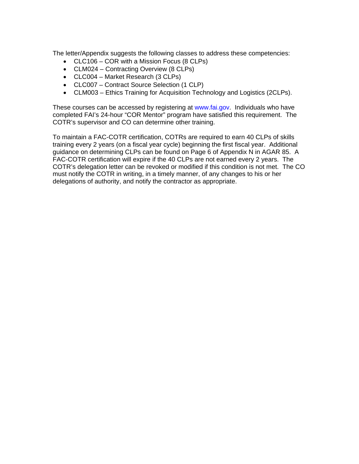The letter/Appendix suggests the following classes to address these competencies:

- CLC106 COR with a Mission Focus (8 CLPs)
- CLM024 Contracting Overview (8 CLPs)
- CLC004 Market Research (3 CLPs)
- CLC007 Contract Source Selection (1 CLP)
- CLM003 Ethics Training for Acquisition Technology and Logistics (2CLPs).

These courses can be accessed by registering at www.fai.gov. Individuals who have completed FAI's 24-hour "COR Mentor" program have satisfied this requirement. The COTR's supervisor and CO can determine other training.

To maintain a FAC-COTR certification, COTRs are required to earn 40 CLPs of skills training every 2 years (on a fiscal year cycle) beginning the first fiscal year. Additional guidance on determining CLPs can be found on Page 6 of Appendix N in AGAR 85. A FAC-COTR certification will expire if the 40 CLPs are not earned every 2 years. The COTR's delegation letter can be revoked or modified if this condition is not met. The CO must notify the COTR in writing, in a timely manner, of any changes to his or her delegations of authority, and notify the contractor as appropriate.